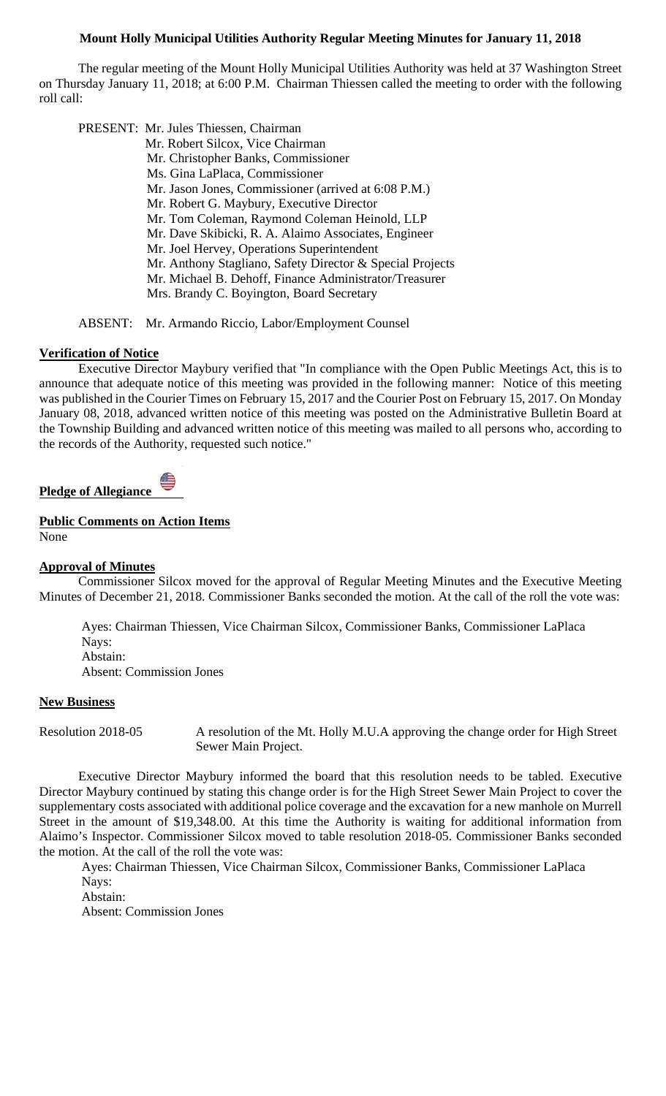## **Mount Holly Municipal Utilities Authority Regular Meeting Minutes for January 11, 2018**

 The regular meeting of the Mount Holly Municipal Utilities Authority was held at 37 Washington Street on Thursday January 11, 2018; at 6:00 P.M. Chairman Thiessen called the meeting to order with the following roll call:

PRESENT: Mr. Jules Thiessen, Chairman

 Mr. Robert Silcox, Vice Chairman Mr. Christopher Banks, Commissioner Ms. Gina LaPlaca, Commissioner Mr. Jason Jones, Commissioner (arrived at 6:08 P.M.) Mr. Robert G. Maybury, Executive Director Mr. Tom Coleman, Raymond Coleman Heinold, LLP Mr. Dave Skibicki, R. A. Alaimo Associates, Engineer Mr. Joel Hervey, Operations Superintendent Mr. Anthony Stagliano, Safety Director & Special Projects Mr. Michael B. Dehoff, Finance Administrator/Treasurer Mrs. Brandy C. Boyington, Board Secretary

ABSENT: Mr. Armando Riccio, Labor/Employment Counsel

## **Verification of Notice**

 Executive Director Maybury verified that "In compliance with the Open Public Meetings Act, this is to announce that adequate notice of this meeting was provided in the following manner: Notice of this meeting was published in the Courier Times on February 15, 2017 and the Courier Post on February 15, 2017. On Monday January 08, 2018, advanced written notice of this meeting was posted on the Administrative Bulletin Board at the Township Building and advanced written notice of this meeting was mailed to all persons who, according to the records of the Authority, requested such notice."

**Pledge of Allegiance** 

## **Public Comments on Action Items**

None

### **Approval of Minutes**

Commissioner Silcox moved for the approval of Regular Meeting Minutes and the Executive Meeting Minutes of December 21, 2018. Commissioner Banks seconded the motion. At the call of the roll the vote was:

Ayes: Chairman Thiessen, Vice Chairman Silcox, Commissioner Banks, Commissioner LaPlaca Nays: Abstain: Absent: Commission Jones

### **New Business**

Resolution 2018-05 A resolution of the Mt. Holly M.U.A approving the change order for High Street Sewer Main Project.

Executive Director Maybury informed the board that this resolution needs to be tabled. Executive Director Maybury continued by stating this change order is for the High Street Sewer Main Project to cover the supplementary costs associated with additional police coverage and the excavation for a new manhole on Murrell Street in the amount of \$19,348.00. At this time the Authority is waiting for additional information from Alaimo's Inspector. Commissioner Silcox moved to table resolution 2018-05. Commissioner Banks seconded the motion. At the call of the roll the vote was:

Ayes: Chairman Thiessen, Vice Chairman Silcox, Commissioner Banks, Commissioner LaPlaca Nays:

Abstain:

Absent: Commission Jones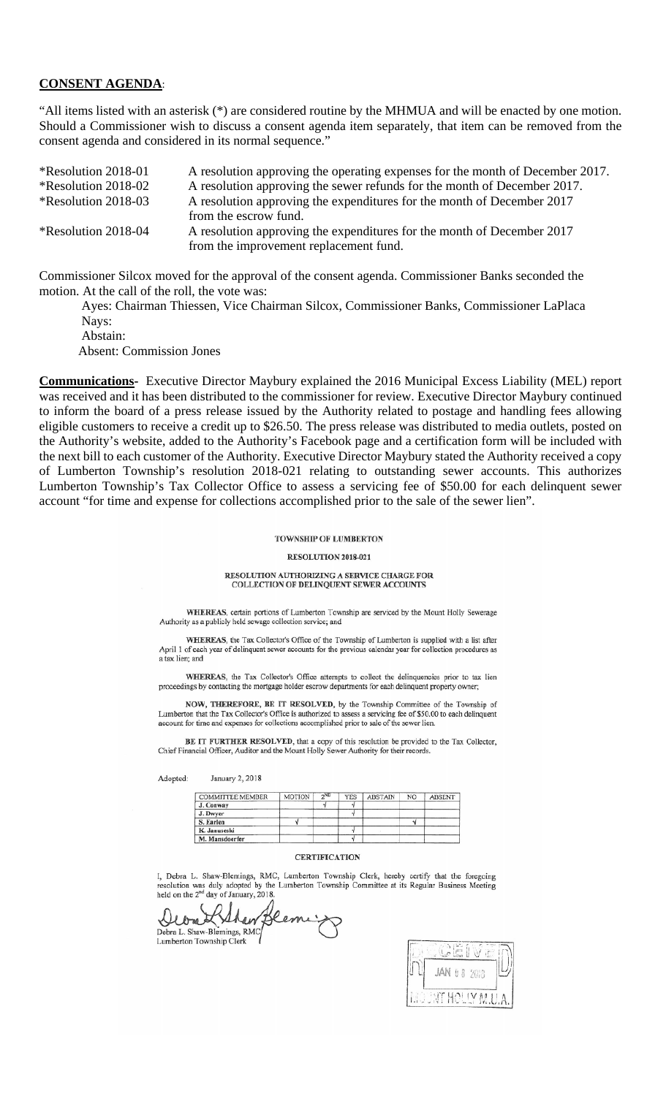### **CONSENT AGENDA**:

"All items listed with an asterisk (\*) are considered routine by the MHMUA and will be enacted by one motion. Should a Commissioner wish to discuss a consent agenda item separately, that item can be removed from the consent agenda and considered in its normal sequence."

| <i><b>*Resolution 2018-01</b></i> | A resolution approving the operating expenses for the month of December 2017. |
|-----------------------------------|-------------------------------------------------------------------------------|
| <i><b>*Resolution 2018-02</b></i> | A resolution approving the sewer refunds for the month of December 2017.      |
| <i><b>*Resolution 2018-03</b></i> | A resolution approving the expenditures for the month of December 2017        |
|                                   | from the escrow fund.                                                         |
| *Resolution 2018-04               | A resolution approving the expenditures for the month of December 2017        |
|                                   | from the improvement replacement fund.                                        |
|                                   |                                                                               |

Commissioner Silcox moved for the approval of the consent agenda. Commissioner Banks seconded the motion. At the call of the roll, the vote was:

Ayes: Chairman Thiessen, Vice Chairman Silcox, Commissioner Banks, Commissioner LaPlaca Nays:

 Abstain: Absent: Commission Jones

**Communications-** Executive Director Maybury explained the 2016 Municipal Excess Liability (MEL) report was received and it has been distributed to the commissioner for review. Executive Director Maybury continued to inform the board of a press release issued by the Authority related to postage and handling fees allowing eligible customers to receive a credit up to \$26.50. The press release was distributed to media outlets, posted on the Authority's website, added to the Authority's Facebook page and a certification form will be included with the next bill to each customer of the Authority. Executive Director Maybury stated the Authority received a copy of Lumberton Township's resolution 2018-021 relating to outstanding sewer accounts. This authorizes Lumberton Township's Tax Collector Office to assess a servicing fee of \$50.00 for each delinquent sewer account "for time and expense for collections accomplished prior to the sale of the sewer lien".

### **TOWNSHIP OF LUMBERTON**

### RESOLUTION 2018-021

#### RESOLUTION AUTHORIZING A SERVICE CHARGE FOR COLLECTION OF DELINQUENT SEWER ACCOUNTS

WHEREAS, certain portions of Lumberton Township are serviced by the Mount Holly Sewerage Authority as a publicly held sewage collection service; and

WHEREAS, the Tax Collector's Office of the Township of Lumberton is supplied with a list after April 1 of each year of delinquent sewer accounts for the previous calendar year for collection procedures as a tax lien: and

WHEREAS, the Tax Collector's Office attempts to collect the delinquencies prior to tax lien proceedings by contacting the mortgage holder escrow departments for each delinquent property owner;

NOW, THEREFORE, BE IT RESOLVED, by the Township Committee of the Township of Lumberton that the Tax Collector's Office is authorized to assess a servicing fee of \$50.00 to each delinquent account for time and expenses for collections accomplished prior to sale of the sewer lien

BE IT FURTHER RESOLVED, that a copy of this resolution be provided to the Tax Collector, Chief Financial Officer, Auditor and the Mount Holly Sewer Authority for their records.

Adopted: January 2, 2018

| <b>COMMITTEE MEMBER</b> | MOTION | 2ND | YES | <b>ABSTAIN</b> | NO | ABSENT |
|-------------------------|--------|-----|-----|----------------|----|--------|
| J. Conway               |        |     |     |                |    |        |
| J. Dwyer                |        |     |     |                |    |        |
| S. Earlen               |        |     |     |                |    |        |
| K. Januseski            |        |     |     |                |    |        |
| M. Mansdoerfer          |        |     |     |                |    |        |

#### **CERTIFICATION**

I, Debra L. Shaw-Blemings, RMC, Lumberton Township Clerk, hereby certify that the foregoing resolution was duly adopted by the Lumberton Township Committee at its Regular Business Meeting held on the 2<sup>nd</sup> day of January, 2018.

Debra L. Shaw-Blemings, RMC



Lumberton Township Clerk